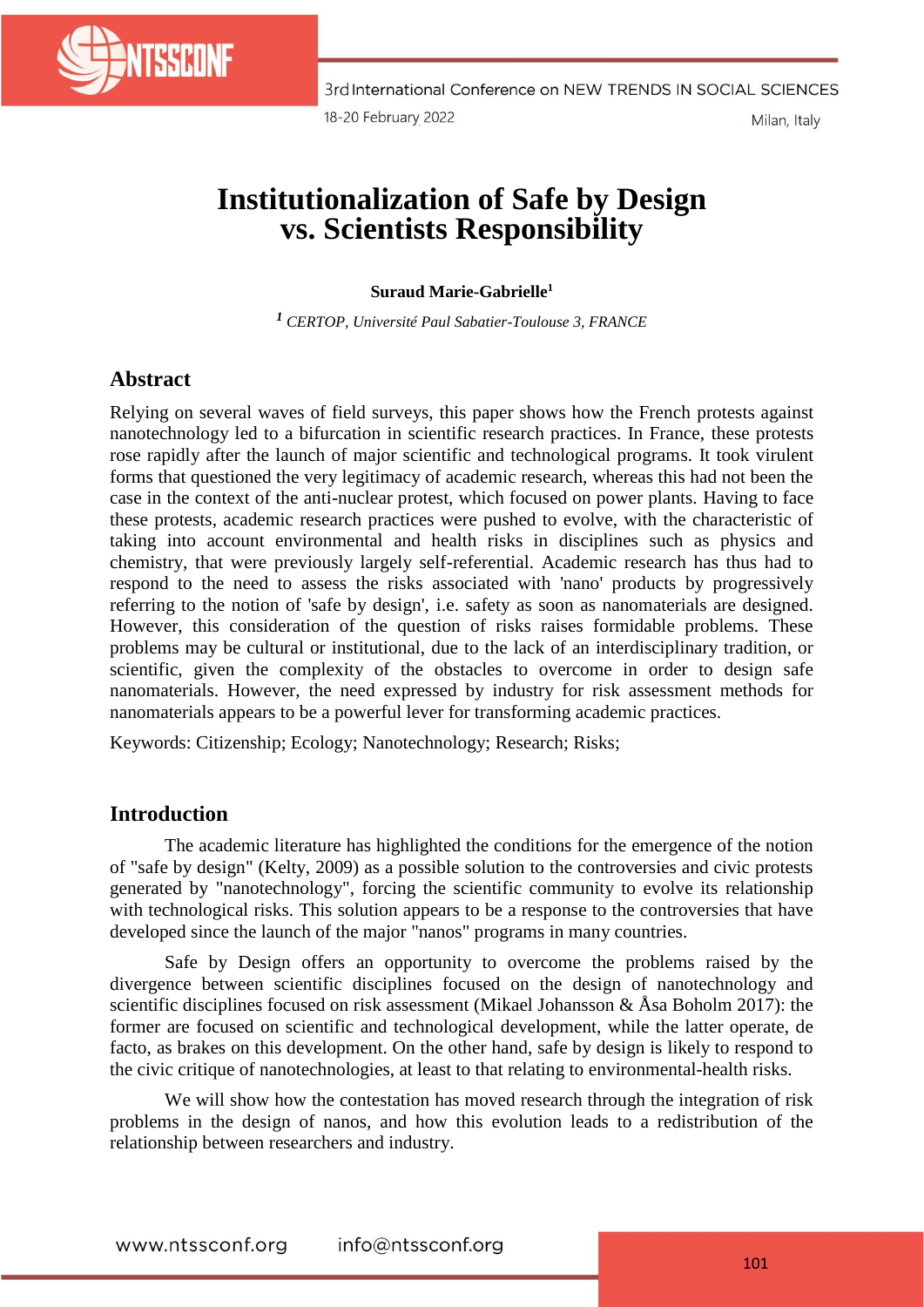

# **Institutionalization of Safe by Design vs. Scientists Responsibility**

#### **Suraud Marie-Gabrielle<sup>1</sup>**

*<sup>1</sup> CERTOP, Université Paul Sabatier-Toulouse 3, FRANCE*

# **Abstract**

Relying on several waves of field surveys, this paper shows how the French protests against nanotechnology led to a bifurcation in scientific research practices. In France, these protests rose rapidly after the launch of major scientific and technological programs. It took virulent forms that questioned the very legitimacy of academic research, whereas this had not been the case in the context of the anti-nuclear protest, which focused on power plants. Having to face these protests, academic research practices were pushed to evolve, with the characteristic of taking into account environmental and health risks in disciplines such as physics and chemistry, that were previously largely self-referential. Academic research has thus had to respond to the need to assess the risks associated with 'nano' products by progressively referring to the notion of 'safe by design', i.e. safety as soon as nanomaterials are designed. However, this consideration of the question of risks raises formidable problems. These problems may be cultural or institutional, due to the lack of an interdisciplinary tradition, or scientific, given the complexity of the obstacles to overcome in order to design safe nanomaterials. However, the need expressed by industry for risk assessment methods for nanomaterials appears to be a powerful lever for transforming academic practices.

Keywords: Citizenship; Ecology; Nanotechnology; Research; Risks;

## **Introduction**

The academic literature has highlighted the conditions for the emergence of the notion of "safe by design" (Kelty, 2009) as a possible solution to the controversies and civic protests generated by "nanotechnology", forcing the scientific community to evolve its relationship with technological risks. This solution appears to be a response to the controversies that have developed since the launch of the major "nanos" programs in many countries.

Safe by Design offers an opportunity to overcome the problems raised by the divergence between scientific disciplines focused on the design of nanotechnology and scientific disciplines focused on risk assessment (Mikael Johansson & Åsa Boholm 2017): the former are focused on scientific and technological development, while the latter operate, de facto, as brakes on this development. On the other hand, safe by design is likely to respond to the civic critique of nanotechnologies, at least to that relating to environmental-health risks.

We will show how the contestation has moved research through the integration of risk problems in the design of nanos, and how this evolution leads to a redistribution of the relationship between researchers and industry.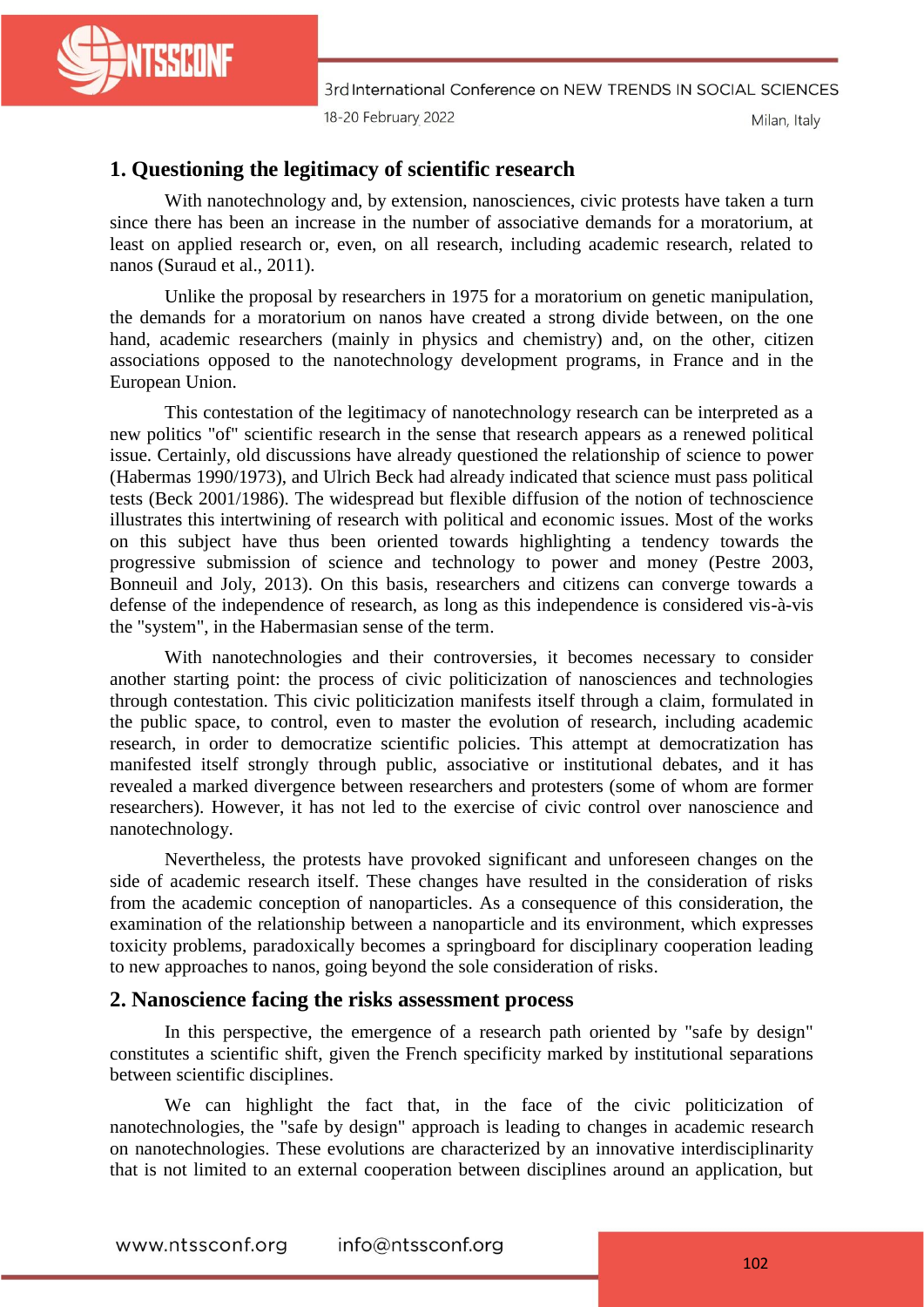

3rd International Conference on NEW TRENDS IN SOCIAL SCIENCES 18-20 February 2022 Milan, Italy

#### **1. Questioning the legitimacy of scientific research**

With nanotechnology and, by extension, nanosciences, civic protests have taken a turn since there has been an increase in the number of associative demands for a moratorium, at least on applied research or, even, on all research, including academic research, related to nanos (Suraud et al., 2011).

Unlike the proposal by researchers in 1975 for a moratorium on genetic manipulation, the demands for a moratorium on nanos have created a strong divide between, on the one hand, academic researchers (mainly in physics and chemistry) and, on the other, citizen associations opposed to the nanotechnology development programs, in France and in the European Union.

This contestation of the legitimacy of nanotechnology research can be interpreted as a new politics "of" scientific research in the sense that research appears as a renewed political issue. Certainly, old discussions have already questioned the relationship of science to power (Habermas 1990/1973), and Ulrich Beck had already indicated that science must pass political tests (Beck 2001/1986). The widespread but flexible diffusion of the notion of technoscience illustrates this intertwining of research with political and economic issues. Most of the works on this subject have thus been oriented towards highlighting a tendency towards the progressive submission of science and technology to power and money (Pestre 2003, Bonneuil and Joly, 2013). On this basis, researchers and citizens can converge towards a defense of the independence of research, as long as this independence is considered vis-à-vis the "system", in the Habermasian sense of the term.

With nanotechnologies and their controversies, it becomes necessary to consider another starting point: the process of civic politicization of nanosciences and technologies through contestation. This civic politicization manifests itself through a claim, formulated in the public space, to control, even to master the evolution of research, including academic research, in order to democratize scientific policies. This attempt at democratization has manifested itself strongly through public, associative or institutional debates, and it has revealed a marked divergence between researchers and protesters (some of whom are former researchers). However, it has not led to the exercise of civic control over nanoscience and nanotechnology.

Nevertheless, the protests have provoked significant and unforeseen changes on the side of academic research itself. These changes have resulted in the consideration of risks from the academic conception of nanoparticles. As a consequence of this consideration, the examination of the relationship between a nanoparticle and its environment, which expresses toxicity problems, paradoxically becomes a springboard for disciplinary cooperation leading to new approaches to nanos, going beyond the sole consideration of risks.

#### **2. Nanoscience facing the risks assessment process**

In this perspective, the emergence of a research path oriented by "safe by design" constitutes a scientific shift, given the French specificity marked by institutional separations between scientific disciplines.

We can highlight the fact that, in the face of the civic politicization of nanotechnologies, the "safe by design" approach is leading to changes in academic research on nanotechnologies. These evolutions are characterized by an innovative interdisciplinarity that is not limited to an external cooperation between disciplines around an application, but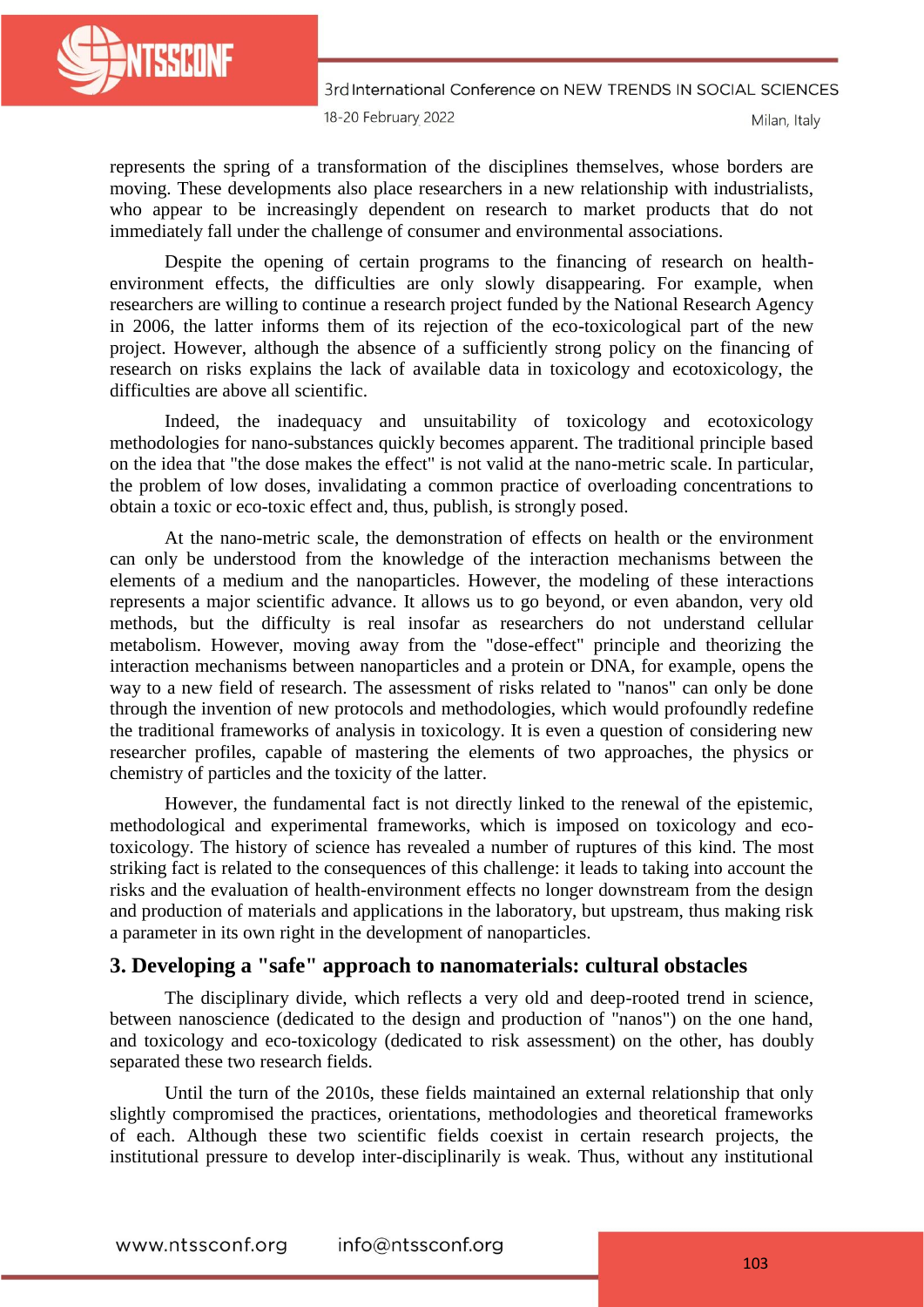

3rd International Conference on NEW TRENDS IN SOCIAL SCIENCES 18-20 February 2022 Milan, Italy

represents the spring of a transformation of the disciplines themselves, whose borders are moving. These developments also place researchers in a new relationship with industrialists, who appear to be increasingly dependent on research to market products that do not immediately fall under the challenge of consumer and environmental associations.

Despite the opening of certain programs to the financing of research on healthenvironment effects, the difficulties are only slowly disappearing. For example, when researchers are willing to continue a research project funded by the National Research Agency in 2006, the latter informs them of its rejection of the eco-toxicological part of the new project. However, although the absence of a sufficiently strong policy on the financing of research on risks explains the lack of available data in toxicology and ecotoxicology, the difficulties are above all scientific.

Indeed, the inadequacy and unsuitability of toxicology and ecotoxicology methodologies for nano-substances quickly becomes apparent. The traditional principle based on the idea that "the dose makes the effect" is not valid at the nano-metric scale. In particular, the problem of low doses, invalidating a common practice of overloading concentrations to obtain a toxic or eco-toxic effect and, thus, publish, is strongly posed.

At the nano-metric scale, the demonstration of effects on health or the environment can only be understood from the knowledge of the interaction mechanisms between the elements of a medium and the nanoparticles. However, the modeling of these interactions represents a major scientific advance. It allows us to go beyond, or even abandon, very old methods, but the difficulty is real insofar as researchers do not understand cellular metabolism. However, moving away from the "dose-effect" principle and theorizing the interaction mechanisms between nanoparticles and a protein or DNA, for example, opens the way to a new field of research. The assessment of risks related to "nanos" can only be done through the invention of new protocols and methodologies, which would profoundly redefine the traditional frameworks of analysis in toxicology. It is even a question of considering new researcher profiles, capable of mastering the elements of two approaches, the physics or chemistry of particles and the toxicity of the latter.

However, the fundamental fact is not directly linked to the renewal of the epistemic, methodological and experimental frameworks, which is imposed on toxicology and ecotoxicology. The history of science has revealed a number of ruptures of this kind. The most striking fact is related to the consequences of this challenge: it leads to taking into account the risks and the evaluation of health-environment effects no longer downstream from the design and production of materials and applications in the laboratory, but upstream, thus making risk a parameter in its own right in the development of nanoparticles.

## **3. Developing a "safe" approach to nanomaterials: cultural obstacles**

The disciplinary divide, which reflects a very old and deep-rooted trend in science, between nanoscience (dedicated to the design and production of "nanos") on the one hand, and toxicology and eco-toxicology (dedicated to risk assessment) on the other, has doubly separated these two research fields.

Until the turn of the 2010s, these fields maintained an external relationship that only slightly compromised the practices, orientations, methodologies and theoretical frameworks of each. Although these two scientific fields coexist in certain research projects, the institutional pressure to develop inter-disciplinarily is weak. Thus, without any institutional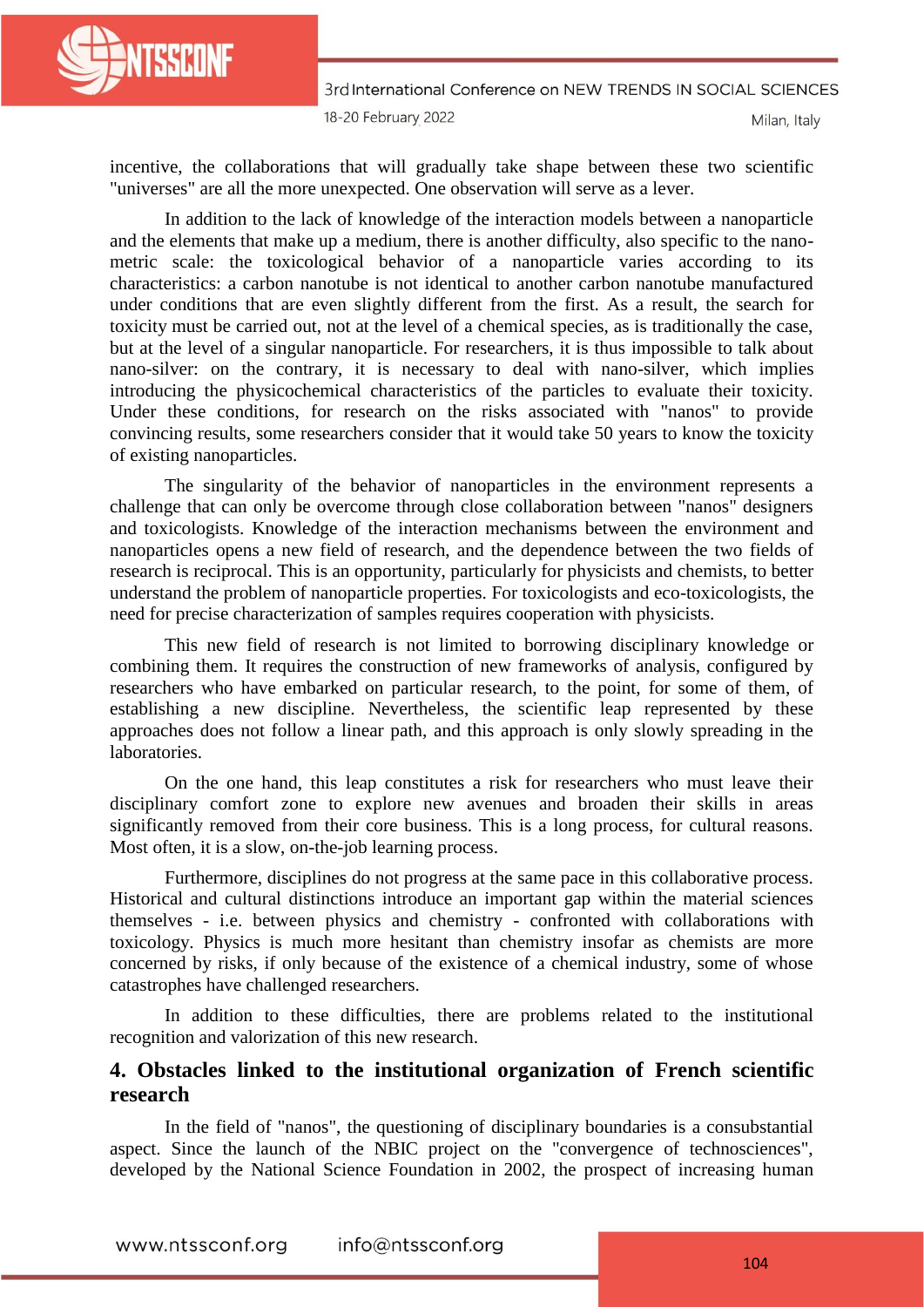

3rd International Conference on NEW TRENDS IN SOCIAL SCIENCES 18-20 February 2022

Milan, Italy

incentive, the collaborations that will gradually take shape between these two scientific "universes" are all the more unexpected. One observation will serve as a lever.

In addition to the lack of knowledge of the interaction models between a nanoparticle and the elements that make up a medium, there is another difficulty, also specific to the nanometric scale: the toxicological behavior of a nanoparticle varies according to its characteristics: a carbon nanotube is not identical to another carbon nanotube manufactured under conditions that are even slightly different from the first. As a result, the search for toxicity must be carried out, not at the level of a chemical species, as is traditionally the case, but at the level of a singular nanoparticle. For researchers, it is thus impossible to talk about nano-silver: on the contrary, it is necessary to deal with nano-silver, which implies introducing the physicochemical characteristics of the particles to evaluate their toxicity. Under these conditions, for research on the risks associated with "nanos" to provide convincing results, some researchers consider that it would take 50 years to know the toxicity of existing nanoparticles.

The singularity of the behavior of nanoparticles in the environment represents a challenge that can only be overcome through close collaboration between "nanos" designers and toxicologists. Knowledge of the interaction mechanisms between the environment and nanoparticles opens a new field of research, and the dependence between the two fields of research is reciprocal. This is an opportunity, particularly for physicists and chemists, to better understand the problem of nanoparticle properties. For toxicologists and eco-toxicologists, the need for precise characterization of samples requires cooperation with physicists.

This new field of research is not limited to borrowing disciplinary knowledge or combining them. It requires the construction of new frameworks of analysis, configured by researchers who have embarked on particular research, to the point, for some of them, of establishing a new discipline. Nevertheless, the scientific leap represented by these approaches does not follow a linear path, and this approach is only slowly spreading in the laboratories.

On the one hand, this leap constitutes a risk for researchers who must leave their disciplinary comfort zone to explore new avenues and broaden their skills in areas significantly removed from their core business. This is a long process, for cultural reasons. Most often, it is a slow, on-the-job learning process.

Furthermore, disciplines do not progress at the same pace in this collaborative process. Historical and cultural distinctions introduce an important gap within the material sciences themselves - i.e. between physics and chemistry - confronted with collaborations with toxicology. Physics is much more hesitant than chemistry insofar as chemists are more concerned by risks, if only because of the existence of a chemical industry, some of whose catastrophes have challenged researchers.

In addition to these difficulties, there are problems related to the institutional recognition and valorization of this new research.

## **4. Obstacles linked to the institutional organization of French scientific research**

In the field of "nanos", the questioning of disciplinary boundaries is a consubstantial aspect. Since the launch of the NBIC project on the "convergence of technosciences", developed by the National Science Foundation in 2002, the prospect of increasing human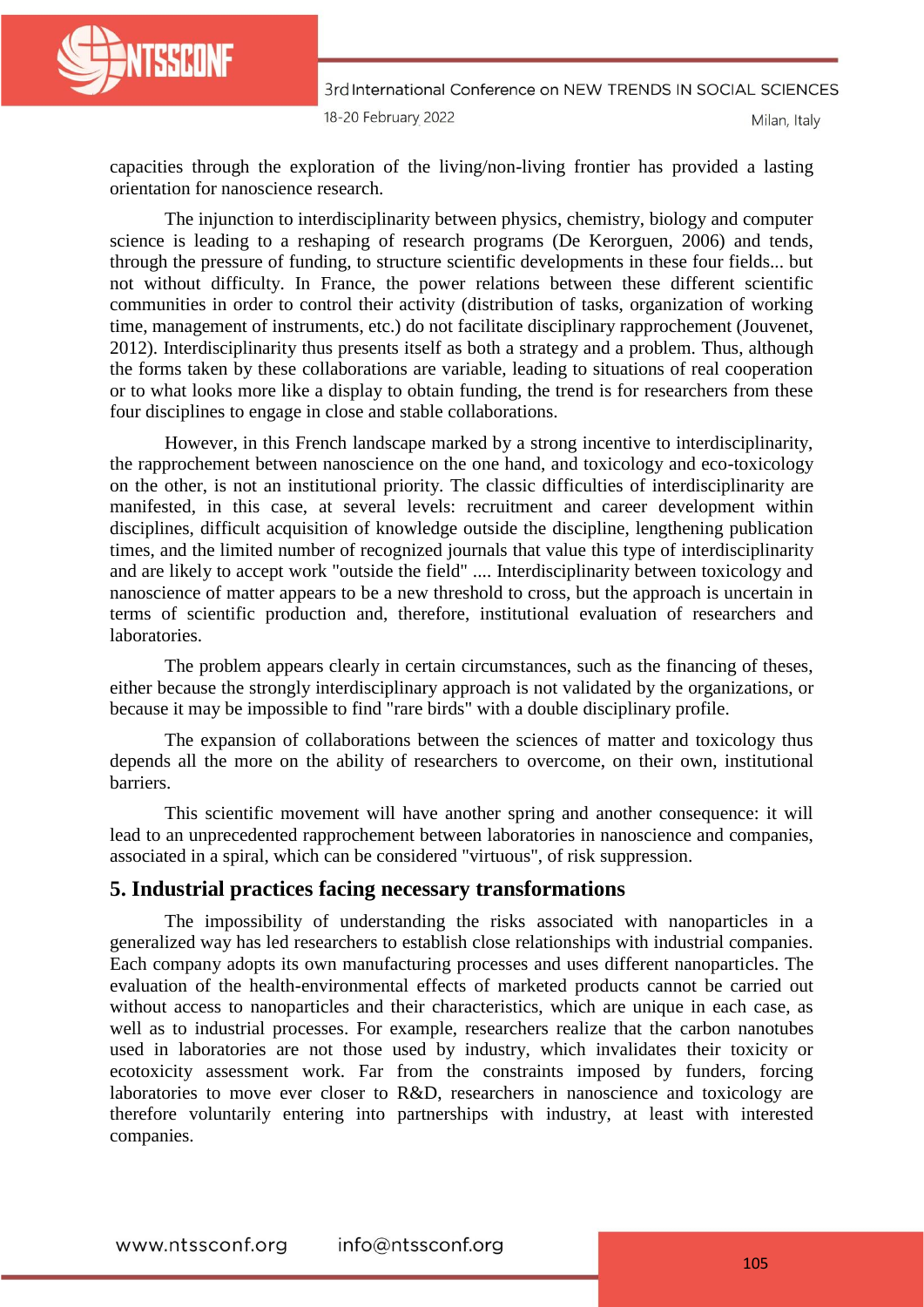

3rd International Conference on NEW TRENDS IN SOCIAL SCIENCES 18-20 February 2022

Milan, Italy

capacities through the exploration of the living/non-living frontier has provided a lasting orientation for nanoscience research.

The injunction to interdisciplinarity between physics, chemistry, biology and computer science is leading to a reshaping of research programs (De Kerorguen, 2006) and tends, through the pressure of funding, to structure scientific developments in these four fields... but not without difficulty. In France, the power relations between these different scientific communities in order to control their activity (distribution of tasks, organization of working time, management of instruments, etc.) do not facilitate disciplinary rapprochement (Jouvenet, 2012). Interdisciplinarity thus presents itself as both a strategy and a problem. Thus, although the forms taken by these collaborations are variable, leading to situations of real cooperation or to what looks more like a display to obtain funding, the trend is for researchers from these four disciplines to engage in close and stable collaborations.

However, in this French landscape marked by a strong incentive to interdisciplinarity, the rapprochement between nanoscience on the one hand, and toxicology and eco-toxicology on the other, is not an institutional priority. The classic difficulties of interdisciplinarity are manifested, in this case, at several levels: recruitment and career development within disciplines, difficult acquisition of knowledge outside the discipline, lengthening publication times, and the limited number of recognized journals that value this type of interdisciplinarity and are likely to accept work "outside the field" .... Interdisciplinarity between toxicology and nanoscience of matter appears to be a new threshold to cross, but the approach is uncertain in terms of scientific production and, therefore, institutional evaluation of researchers and laboratories.

The problem appears clearly in certain circumstances, such as the financing of theses, either because the strongly interdisciplinary approach is not validated by the organizations, or because it may be impossible to find "rare birds" with a double disciplinary profile.

The expansion of collaborations between the sciences of matter and toxicology thus depends all the more on the ability of researchers to overcome, on their own, institutional barriers.

This scientific movement will have another spring and another consequence: it will lead to an unprecedented rapprochement between laboratories in nanoscience and companies, associated in a spiral, which can be considered "virtuous", of risk suppression.

#### **5. Industrial practices facing necessary transformations**

The impossibility of understanding the risks associated with nanoparticles in a generalized way has led researchers to establish close relationships with industrial companies. Each company adopts its own manufacturing processes and uses different nanoparticles. The evaluation of the health-environmental effects of marketed products cannot be carried out without access to nanoparticles and their characteristics, which are unique in each case, as well as to industrial processes. For example, researchers realize that the carbon nanotubes used in laboratories are not those used by industry, which invalidates their toxicity or ecotoxicity assessment work. Far from the constraints imposed by funders, forcing laboratories to move ever closer to R&D, researchers in nanoscience and toxicology are therefore voluntarily entering into partnerships with industry, at least with interested companies.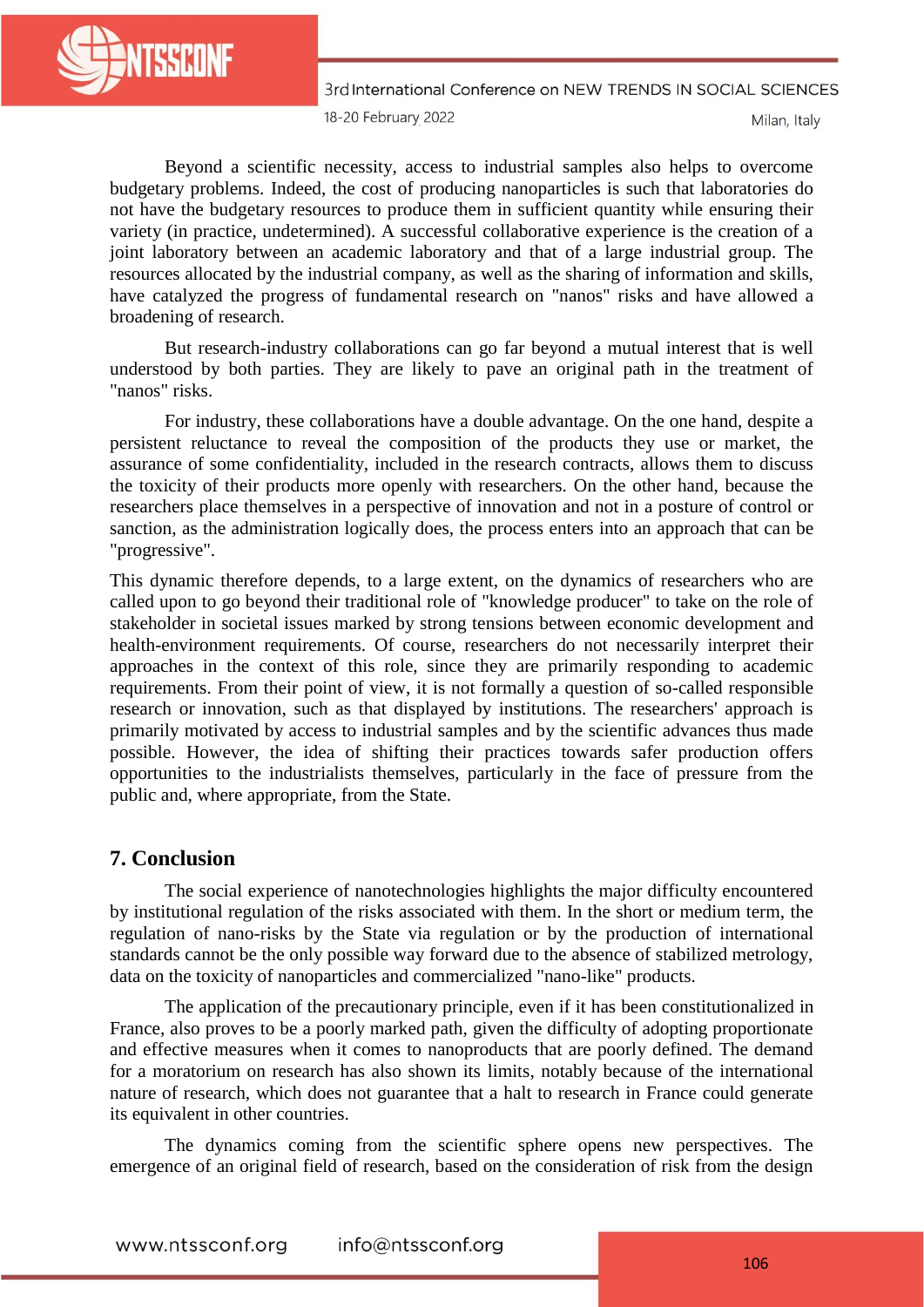

3rd International Conference on NEW TRENDS IN SOCIAL SCIENCES

18-20 February 2022

Milan, Italy

Beyond a scientific necessity, access to industrial samples also helps to overcome budgetary problems. Indeed, the cost of producing nanoparticles is such that laboratories do not have the budgetary resources to produce them in sufficient quantity while ensuring their variety (in practice, undetermined). A successful collaborative experience is the creation of a joint laboratory between an academic laboratory and that of a large industrial group. The resources allocated by the industrial company, as well as the sharing of information and skills, have catalyzed the progress of fundamental research on "nanos" risks and have allowed a broadening of research.

But research-industry collaborations can go far beyond a mutual interest that is well understood by both parties. They are likely to pave an original path in the treatment of "nanos" risks.

For industry, these collaborations have a double advantage. On the one hand, despite a persistent reluctance to reveal the composition of the products they use or market, the assurance of some confidentiality, included in the research contracts, allows them to discuss the toxicity of their products more openly with researchers. On the other hand, because the researchers place themselves in a perspective of innovation and not in a posture of control or sanction, as the administration logically does, the process enters into an approach that can be "progressive".

This dynamic therefore depends, to a large extent, on the dynamics of researchers who are called upon to go beyond their traditional role of "knowledge producer" to take on the role of stakeholder in societal issues marked by strong tensions between economic development and health-environment requirements. Of course, researchers do not necessarily interpret their approaches in the context of this role, since they are primarily responding to academic requirements. From their point of view, it is not formally a question of so-called responsible research or innovation, such as that displayed by institutions. The researchers' approach is primarily motivated by access to industrial samples and by the scientific advances thus made possible. However, the idea of shifting their practices towards safer production offers opportunities to the industrialists themselves, particularly in the face of pressure from the public and, where appropriate, from the State.

## **7. Conclusion**

The social experience of nanotechnologies highlights the major difficulty encountered by institutional regulation of the risks associated with them. In the short or medium term, the regulation of nano-risks by the State via regulation or by the production of international standards cannot be the only possible way forward due to the absence of stabilized metrology, data on the toxicity of nanoparticles and commercialized "nano-like" products.

The application of the precautionary principle, even if it has been constitutionalized in France, also proves to be a poorly marked path, given the difficulty of adopting proportionate and effective measures when it comes to nanoproducts that are poorly defined. The demand for a moratorium on research has also shown its limits, notably because of the international nature of research, which does not guarantee that a halt to research in France could generate its equivalent in other countries.

The dynamics coming from the scientific sphere opens new perspectives. The emergence of an original field of research, based on the consideration of risk from the design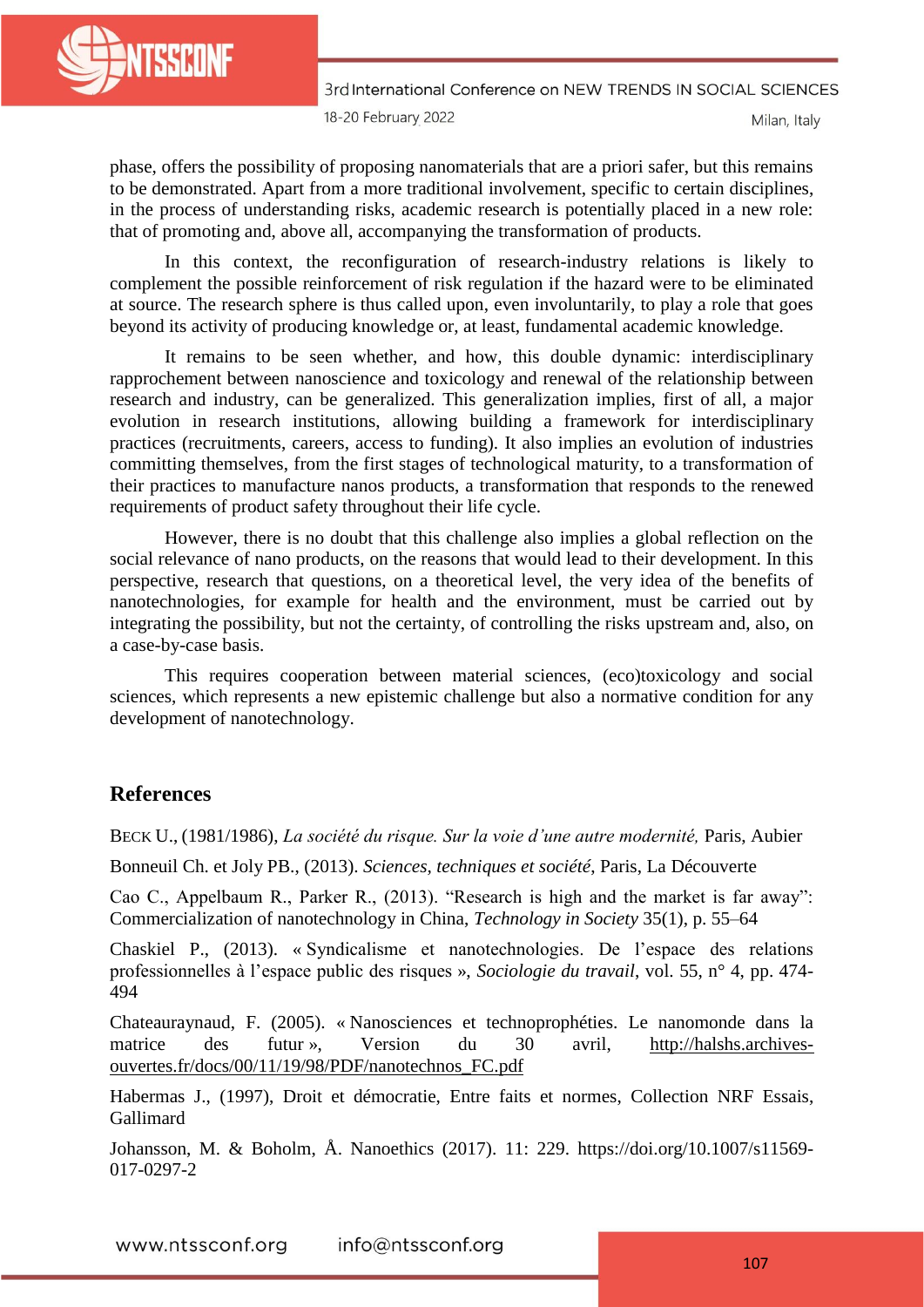

3rd International Conference on NEW TRENDS IN SOCIAL SCIENCES 18-20 February 2022

Milan, Italy

phase, offers the possibility of proposing nanomaterials that are a priori safer, but this remains to be demonstrated. Apart from a more traditional involvement, specific to certain disciplines, in the process of understanding risks, academic research is potentially placed in a new role: that of promoting and, above all, accompanying the transformation of products.

In this context, the reconfiguration of research-industry relations is likely to complement the possible reinforcement of risk regulation if the hazard were to be eliminated at source. The research sphere is thus called upon, even involuntarily, to play a role that goes beyond its activity of producing knowledge or, at least, fundamental academic knowledge.

It remains to be seen whether, and how, this double dynamic: interdisciplinary rapprochement between nanoscience and toxicology and renewal of the relationship between research and industry, can be generalized. This generalization implies, first of all, a major evolution in research institutions, allowing building a framework for interdisciplinary practices (recruitments, careers, access to funding). It also implies an evolution of industries committing themselves, from the first stages of technological maturity, to a transformation of their practices to manufacture nanos products, a transformation that responds to the renewed requirements of product safety throughout their life cycle.

However, there is no doubt that this challenge also implies a global reflection on the social relevance of nano products, on the reasons that would lead to their development. In this perspective, research that questions, on a theoretical level, the very idea of the benefits of nanotechnologies, for example for health and the environment, must be carried out by integrating the possibility, but not the certainty, of controlling the risks upstream and, also, on a case-by-case basis.

This requires cooperation between material sciences, (eco)toxicology and social sciences, which represents a new epistemic challenge but also a normative condition for any development of nanotechnology.

# **References**

BECK U., (1981/1986), *La société du risque. Sur la voie d'une autre modernité,* Paris, Aubier

Bonneuil Ch. et Joly PB., (2013). *Sciences, techniques et société*, Paris, La Découverte

Cao C., Appelbaum R., Parker R., (2013). "Research is high and the market is far away": Commercialization of nanotechnology in China, *[Technology in Society](https://www.researchgate.net/journal/0160-791X_Technology_in_Society)* 35(1), p. 55–64

Chaskiel P., (2013). « Syndicalisme et nanotechnologies. De l'espace des relations professionnelles à l'espace public des risques », *Sociologie du travail*, vol. 55, n° 4, pp. 474- 494

Chateauraynaud, F. (2005). « Nanosciences et technoprophéties. Le nanomonde dans la matrice des futur », Version du 30 avril, [http://halshs.archives](http://halshs.archives-ouvertes.fr/docs/00/11/19/98/PDF/nanotechnos_FC.pdf)[ouvertes.fr/docs/00/11/19/98/PDF/nanotechnos\\_FC.pdf](http://halshs.archives-ouvertes.fr/docs/00/11/19/98/PDF/nanotechnos_FC.pdf)

[Habermas](http://www.gallimard.fr/Contributeurs/Juergen-Habermas) J., (1997), Droit et démocratie, Entre faits et normes, Collection [NRF Essais,](http://www.gallimard.fr/Catalogue/GALLIMARD/NRF-Essais) Gallimard

Johansson, M. & Boholm, Å. Nanoethics (2017). 11: 229. https://doi.org/10.1007/s11569- 017-0297-2